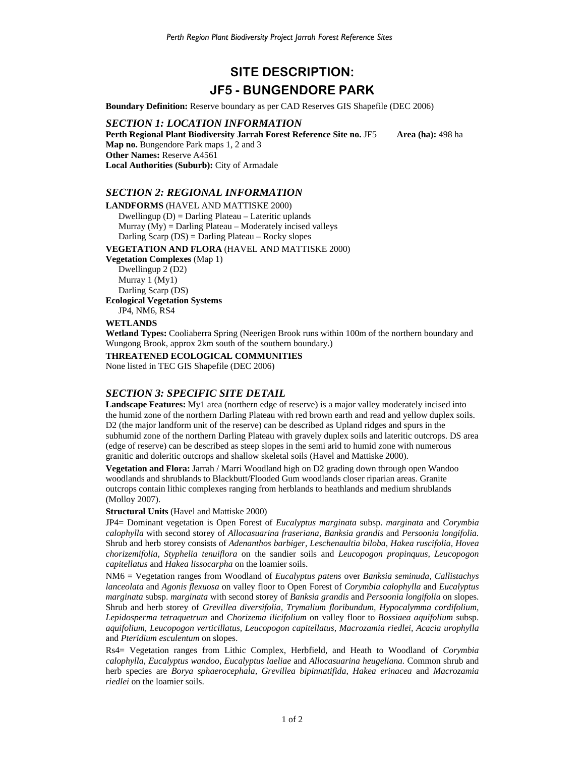# **SITE DESCRIPTION: JF5 - BUNGENDORE PARK**

**Boundary Definition:** Reserve boundary as per CAD Reserves GIS Shapefile (DEC 2006)

*SECTION 1: LOCATION INFORMATION*  **Perth Regional Plant Biodiversity Jarrah Forest Reference Site no. JF5 Area (ha): 498 ha Map no.** Bungendore Park maps 1, 2 and 3 **Other Names:** Reserve A4561 **Local Authorities (Suburb):** City of Armadale

### *SECTION 2: REGIONAL INFORMATION*

#### **LANDFORMS** (HAVEL AND MATTISKE 2000)

Dwellingup (D) = Darling Plateau – Lateritic uplands Murray  $(My)$  = Darling Plateau – Moderately incised valleys Darling Scarp (DS) = Darling Plateau – Rocky slopes

**VEGETATION AND FLORA** (HAVEL AND MATTISKE 2000)

**Vegetation Complexes** (Map 1)

Dwellingup 2 (D2) Murray 1 (My1) Darling Scarp (DS) **Ecological Vegetation Systems** 

JP4, NM6, RS4

## **WETLANDS**

**Wetland Types:** Cooliaberra Spring (Neerigen Brook runs within 100m of the northern boundary and Wungong Brook, approx 2km south of the southern boundary.)

**THREATENED ECOLOGICAL COMMUNITIES** 

None listed in TEC GIS Shapefile (DEC 2006)

## *SECTION 3: SPECIFIC SITE DETAIL*

**Landscape Features:** My1 area (northern edge of reserve) is a major valley moderately incised into the humid zone of the northern Darling Plateau with red brown earth and read and yellow duplex soils. D2 (the major landform unit of the reserve) can be described as Upland ridges and spurs in the subhumid zone of the northern Darling Plateau with gravely duplex soils and lateritic outcrops. DS area (edge of reserve) can be described as steep slopes in the semi arid to humid zone with numerous granitic and doleritic outcrops and shallow skeletal soils (Havel and Mattiske 2000).

**Vegetation and Flora:** Jarrah / Marri Woodland high on D2 grading down through open Wandoo woodlands and shrublands to Blackbutt/Flooded Gum woodlands closer riparian areas. Granite outcrops contain lithic complexes ranging from herblands to heathlands and medium shrublands (Molloy 2007).

#### **Structural Units** (Havel and Mattiske 2000)

JP4= Dominant vegetation is Open Forest of *Eucalyptus marginata* subsp. *marginata* and *Corymbia calophylla* with second storey of *Allocasuarina fraseriana, Banksia grandis* and *Persoonia longifolia.*  Shrub and herb storey consists of *Adenanthos barbiger, Leschenaultia biloba, Hakea ruscifolia, Hovea chorizemifolia, Styphelia tenuiflora* on the sandier soils and *Leucopogon propinquus, Leucopogon capitellatus* and *Hakea lissocarpha* on the loamier soils.

NM6 = Vegetation ranges from Woodland of *Eucalyptus patens* over *Banksia seminuda, Callistachys lanceolata* and *Agonis flexuosa* on valley floor to Open Forest of *Corymbia calophylla* and *Eucalyptus marginata* subsp. *marginata* with second storey of *Banksia grandis* and *Persoonia longifolia* on slopes. Shrub and herb storey of *Grevillea diversifolia, Trymalium floribundum, Hypocalymma cordifolium, Lepidosperma tetraquetrum* and *Chorizema ilicifolium* on valley floor to *Bossiaea aquifolium* subsp. *aquifolium, Leucopogon verticillatus, Leucopogon capitellatus, Macrozamia riedlei, Acacia urophylla* and *Pteridium esculentum* on slopes.

Rs4= Vegetation ranges from Lithic Complex, Herbfield, and Heath to Woodland of *Corymbia calophylla, Eucalyptus wandoo, Eucalyptus laeliae* and *Allocasuarina heugeliana.* Common shrub and herb species are *Borya sphaerocephala, Grevillea bipinnatifida, Hakea erinacea* and *Macrozamia riedlei* on the loamier soils.